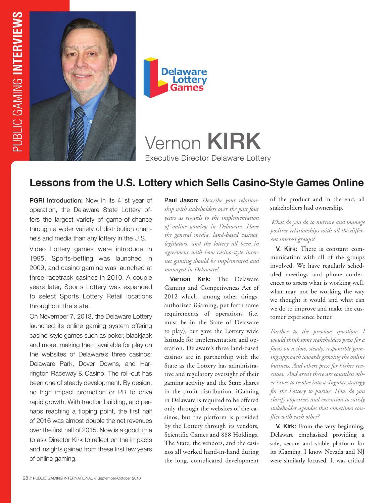



# Vernon KIRK Executive Director Delaware Lottery

# **Lessons from the U.S. Lottery which Sells Casino-Style Games Online**

PGRI Introduction: Now in its 41st year of operation, the Delaware State Lottery offers the largest variety of game-of-chance through a wider variety of distribution channels and media than any lottery in the U.S.

Video Lottery games were introduce in 1995. Sports-betting was launched in 2009, and casino gaming was launched at three racetrack casinos in 2010. A couple years later, Sports Lottery was expanded to select Sports Lottery Retail locations throughout the state.

On November 7, 2013, the Delaware Lottery launched its online gaming system offering casino-style games such as poker, blackjack and more, making them available for play on the websites of Delaware's three casinos: Delaware Park, Dover Downs, and Harrington Raceway & Casino. The roll-out has been one of steady development. By design, no high impact promotion or PR to drive rapid growth. With traction building, and perhaps reaching a tipping point, the first half of 2016 was almost double the net revenues over the first half of 2015. Now is a good time to ask Director Kirk to reflect on the impacts and insights gained from these first few years of online gaming.

Paul Jason: *Describe your relationship with stakeholders over the past four years as regards to the implementation of online gaming in Delaware. Have the general media, land-based casinos, legislators, and the lottery all been in agreement with how casino-style internet gaming should be implemented and managed in Delaware?*

Vernon Kirk: The Delaware Gaming and Competiveness Act of 2012 which, among other things, authorized iGaming, put forth some requirements of operations (i.e. must be in the State of Delaware to play), but gave the Lottery wide latitude for implementation and operation. Delaware's three land-based casinos are in partnership with the State as the Lottery has administrative and regulatory oversight of their gaming activity and the State shares in the profit distribution. iGaming in Delaware is required to be offered only through the websites of the casinos, but the platform is provided by the Lottery through its vendors, Scientific Games and 888 Holdings. The State, the vendors, and the casinos all worked hand-in-hand during the long, complicated development

of the product and in the end, all stakeholders had ownership.

*What do you do to nurture and manage positive relationships with all the different interest groups?* 

V. Kirk: There is constant communication with all of the groups involved. We have regularly scheduled meetings and phone conferences to assess what is working well, what may not be working the way we thought it would and what can we do to improve and make the customer experience better.

*Further to the previous question: I would think some stakeholders press for a focus on a slow, steady, responsible gaming approach towards growing the online business. And others press for higher revenues. And aren't there are countless other issues to resolve into a singular strategy for the Lottery to pursue. How do you clarify objectives and execution to satisfy stakeholder agendas that sometimes conflict with each other?*

V. Kirk: From the very beginning, Delaware emphasized providing a safe, secure and stable platform for its iGaming. I know Nevada and NJ were similarly focused. It was critical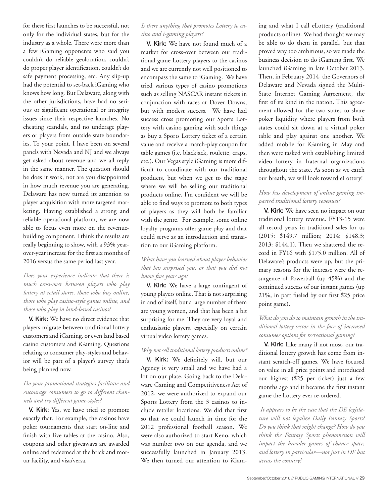for these first launches to be successful, not only for the individual states, but for the industry as a whole. There were more than a few iGaming opponents who said you couldn't do reliable geolocation, couldn't do proper player identification, couldn't do safe payment processing, etc. Any slip-up had the potential to set-back iGaming who knows how long. But Delaware, along with the other jurisdictions, have had no serious or significant operational or integrity issues since their respective launches. No cheating scandals, and no underage players or players from outside state boundaries. To your point, I have been on several panels with Nevada and NJ and we always get asked about revenue and we all reply in the same manner. The question should be does it work, not are you disappointed in how much revenue you are generating. Delaware has now turned its attention to player acquisition with more targeted marketing. Having established a strong and reliable operational platform, we are now able to focus even more on the revenuebuilding component. I think the results are really beginning to show, with a 93% yearover-year increase for the first six months of 2016 versus the same period last year.

#### *Does your experience indicate that there is much cross-over between players who play lottery at retail stores, those who buy online, those who play casino-style games online, and those who play in land-based casinos?*

V. Kirk: We have no direct evidence that players migrate between traditional lottery customers and iGaming, or even land based casino customers and iGaming. Questions relating to consumer play-styles and behavior will be part of a player's survey that's being planned now.

## *Do your promotional strategies facilitate and encourage consumers to go to different channels and try different game-styles?*

V. Kirk: Yes, we have tried to promote exactly that. For example, the casinos have poker tournaments that start on-line and finish with live tables at the casino. Also, coupons and other giveaways are awarded online and redeemed at the brick and mortar facility, and visa/versa.

#### *Is there anything that promotes Lottery to casino and i-gaming players?*

V. Kirk: We have not found much of a market for cross-over between our traditional game Lottery players to the casinos and we are currently not well positioned to encompass the same to iGaming. We have tried various types of casino promotions such as selling NASCAR instant tickets in conjunction with races at Dover Downs, but with modest success. We have had success cross promoting our Sports Lottery with casino gaming with such things as buy a Sports Lottery ticket of a certain value and receive a match-play coupon for table games (i.e. blackjack, roulette, craps, etc.). Our Vegas style iGaming is more difficult to coordinate with our traditional products, but when we get to the stage where we will be selling our traditional products online, I'm confident we will be able to find ways to promote to both types of players as they will both be familiar with the genre. For example, some online loyalty programs offer game play and that could serve as an introduction and transition to our iGaming platform.

#### *What have you learned about player behavior that has surprised you, or that you did not know five years ago?*

V. Kirk: We have a large contingent of young players online. That is not surprising in and of itself, but a large number of them are young women, and that has been a bit surprising for me. They are very loyal and enthusiastic players, especially on certain virtual video lottery games.

#### *Why not sell traditional lottery products online?*

V. Kirk: We definitely will, but our Agency is very small and we have had a lot on our plate. Going back to the Delaware Gaming and Competitiveness Act of 2012, we were authorized to expand our Sports Lottery from the 3 casinos to include retailer locations. We did that first so that we could launch in time for the 2012 professional football season. We were also authorized to start Keno, which was number two on our agenda, and we successfully launched in January 2013. We then turned our attention to iGaming and what I call eLottery (traditional products online). We had thought we may be able to do them in parallel, but that proved way too ambitious, so we made the business decision to do iGaming first. We launched iGaming in late October 2013. Then, in February 2014, the Governors of Delaware and Nevada signed the Multi-State Internet Gaming Agreement, the first of its kind in the nation. This agreement allowed for the two states to share poker liquidity where players from both states could sit down at a virtual poker table and play against one another. We added mobile for iGaming in May and then were tasked with establishing limited video lottery in fraternal organizations throughout the state. As soon as we catch our breath, we will look toward eLottery!

#### *How has development of online gaming impacted traditional lottery revenues?*

V. Kirk: We have seen no impact on our traditional lottery revenue. FY13-15 were all record years in traditional sales for us (2015: \$149.7 million; 2014: \$148.3; 2013: \$144.1). Then we shattered the record in FY16 with \$175.0 million. All of Delaware's products were up, but the primary reasons for the increase were the resurgence of Powerball (up 45%) and the continued success of our instant games (up 21%, in part fueled by our first \$25 price point game).

## *What do you do to maintain growth in the traditional lottery sector in the face of increased consumer options for recreational gaming?*

V. Kirk: Like many if not most, our traditional lottery growth has come from instant scratch-off games. We have focused on value in all price points and introduced our highest (\$25 per ticket) just a few months ago and it became the first instant game the Lottery ever re-ordered.

*It appears to be the case that the DE legislature will not legalize Daily Fantasy Sports? Do you think that might change? How do you think the Fantasy Sports phenomenon will impact the broader games of chance space, and lottery in particular—not just in DE but across the country?*